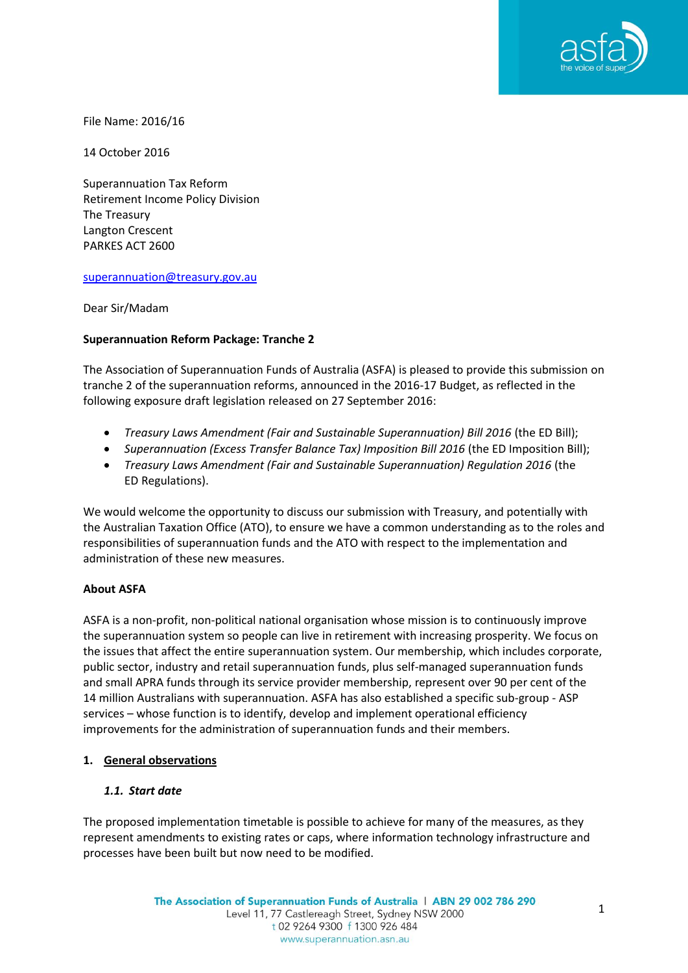

File Name: 2016/16

14 October 2016

Superannuation Tax Reform Retirement Income Policy Division The Treasury Langton Crescent PARKES ACT 2600

## [superannuation@treasury.gov.au](mailto:superannuation@treasury.gov.au)

Dear Sir/Madam

## **Superannuation Reform Package: Tranche 2**

The Association of Superannuation Funds of Australia (ASFA) is pleased to provide this submission on tranche 2 of the superannuation reforms, announced in the 2016-17 Budget, as reflected in the following exposure draft legislation released on 27 September 2016:

- *Treasury Laws Amendment (Fair and Sustainable Superannuation) Bill 2016* (the ED Bill);
- *Superannuation (Excess Transfer Balance Tax) Imposition Bill 2016* (the ED Imposition Bill);
- *Treasury Laws Amendment (Fair and Sustainable Superannuation) Regulation 2016* (the ED Regulations).

We would welcome the opportunity to discuss our submission with Treasury, and potentially with the Australian Taxation Office (ATO), to ensure we have a common understanding as to the roles and responsibilities of superannuation funds and the ATO with respect to the implementation and administration of these new measures.

## **About ASFA**

ASFA is a non-profit, non-political national organisation whose mission is to continuously improve the superannuation system so people can live in retirement with increasing prosperity. We focus on the issues that affect the entire superannuation system. Our membership, which includes corporate, public sector, industry and retail superannuation funds, plus self-managed superannuation funds and small APRA funds through its service provider membership, represent over 90 per cent of the 14 million Australians with superannuation. ASFA has also established a specific sub-group - ASP services – whose function is to identify, develop and implement operational efficiency improvements for the administration of superannuation funds and their members.

## **1. General observations**

## *1.1. Start date*

The proposed implementation timetable is possible to achieve for many of the measures, as they represent amendments to existing rates or caps, where information technology infrastructure and processes have been built but now need to be modified.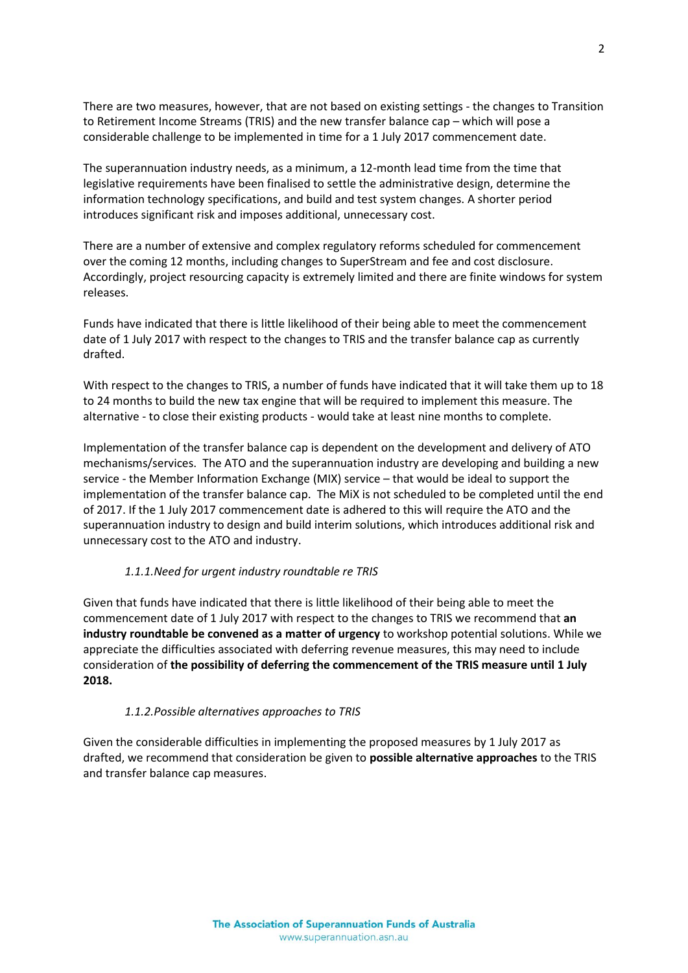There are two measures, however, that are not based on existing settings - the changes to Transition to Retirement Income Streams (TRIS) and the new transfer balance cap – which will pose a considerable challenge to be implemented in time for a 1 July 2017 commencement date.

The superannuation industry needs, as a minimum, a 12-month lead time from the time that legislative requirements have been finalised to settle the administrative design, determine the information technology specifications, and build and test system changes. A shorter period introduces significant risk and imposes additional, unnecessary cost.

There are a number of extensive and complex regulatory reforms scheduled for commencement over the coming 12 months, including changes to SuperStream and fee and cost disclosure. Accordingly, project resourcing capacity is extremely limited and there are finite windows for system releases.

Funds have indicated that there is little likelihood of their being able to meet the commencement date of 1 July 2017 with respect to the changes to TRIS and the transfer balance cap as currently drafted.

With respect to the changes to TRIS, a number of funds have indicated that it will take them up to 18 to 24 months to build the new tax engine that will be required to implement this measure. The alternative - to close their existing products - would take at least nine months to complete.

Implementation of the transfer balance cap is dependent on the development and delivery of ATO mechanisms/services. The ATO and the superannuation industry are developing and building a new service - the Member Information Exchange (MIX) service – that would be ideal to support the implementation of the transfer balance cap. The MiX is not scheduled to be completed until the end of 2017. If the 1 July 2017 commencement date is adhered to this will require the ATO and the superannuation industry to design and build interim solutions, which introduces additional risk and unnecessary cost to the ATO and industry.

## *1.1.1.Need for urgent industry roundtable re TRIS*

Given that funds have indicated that there is little likelihood of their being able to meet the commencement date of 1 July 2017 with respect to the changes to TRIS we recommend that **an industry roundtable be convened as a matter of urgency** to workshop potential solutions. While we appreciate the difficulties associated with deferring revenue measures, this may need to include consideration of **the possibility of deferring the commencement of the TRIS measure until 1 July 2018.**

## *1.1.2.Possible alternatives approaches to TRIS*

Given the considerable difficulties in implementing the proposed measures by 1 July 2017 as drafted, we recommend that consideration be given to **possible alternative approaches** to the TRIS and transfer balance cap measures.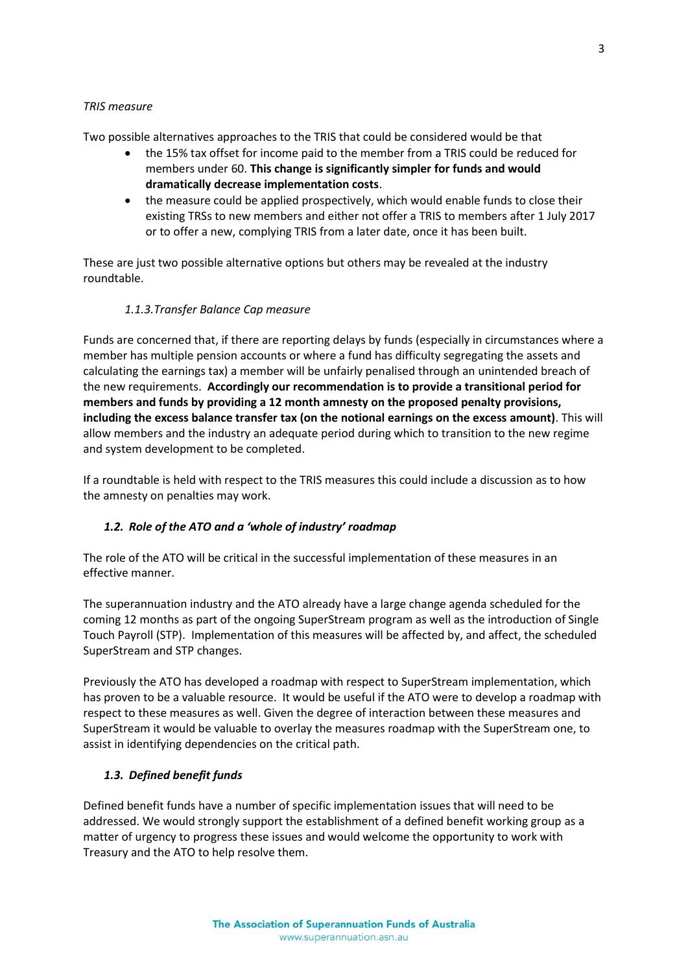## *TRIS measure*

Two possible alternatives approaches to the TRIS that could be considered would be that

- the 15% tax offset for income paid to the member from a TRIS could be reduced for members under 60. **This change is significantly simpler for funds and would dramatically decrease implementation costs**.
- the measure could be applied prospectively, which would enable funds to close their existing TRSs to new members and either not offer a TRIS to members after 1 July 2017 or to offer a new, complying TRIS from a later date, once it has been built.

These are just two possible alternative options but others may be revealed at the industry roundtable.

## *1.1.3.Transfer Balance Cap measure*

Funds are concerned that, if there are reporting delays by funds (especially in circumstances where a member has multiple pension accounts or where a fund has difficulty segregating the assets and calculating the earnings tax) a member will be unfairly penalised through an unintended breach of the new requirements. **Accordingly our recommendation is to provide a transitional period for members and funds by providing a 12 month amnesty on the proposed penalty provisions, including the excess balance transfer tax (on the notional earnings on the excess amount)**. This will allow members and the industry an adequate period during which to transition to the new regime and system development to be completed.

If a roundtable is held with respect to the TRIS measures this could include a discussion as to how the amnesty on penalties may work.

## *1.2. Role of the ATO and a 'whole of industry' roadmap*

The role of the ATO will be critical in the successful implementation of these measures in an effective manner.

The superannuation industry and the ATO already have a large change agenda scheduled for the coming 12 months as part of the ongoing SuperStream program as well as the introduction of Single Touch Payroll (STP). Implementation of this measures will be affected by, and affect, the scheduled SuperStream and STP changes.

Previously the ATO has developed a roadmap with respect to SuperStream implementation, which has proven to be a valuable resource. It would be useful if the ATO were to develop a roadmap with respect to these measures as well. Given the degree of interaction between these measures and SuperStream it would be valuable to overlay the measures roadmap with the SuperStream one, to assist in identifying dependencies on the critical path.

## *1.3. Defined benefit funds*

Defined benefit funds have a number of specific implementation issues that will need to be addressed. We would strongly support the establishment of a defined benefit working group as a matter of urgency to progress these issues and would welcome the opportunity to work with Treasury and the ATO to help resolve them.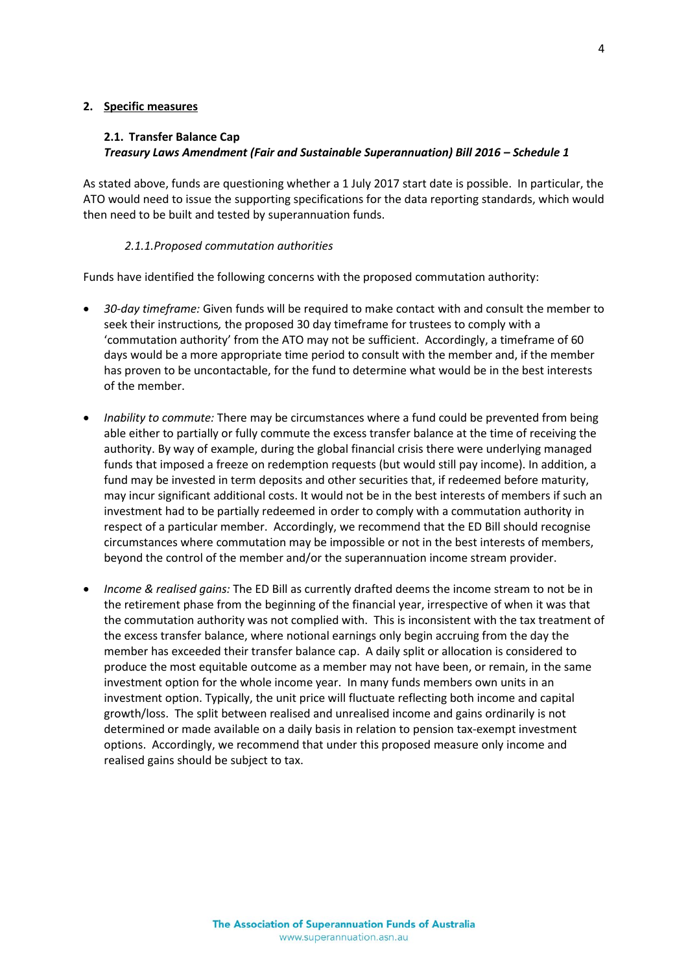## **2. Specific measures**

# **2.1. Transfer Balance Cap** *Treasury Laws Amendment (Fair and Sustainable Superannuation) Bill 2016 – Schedule 1*

As stated above, funds are questioning whether a 1 July 2017 start date is possible. In particular, the ATO would need to issue the supporting specifications for the data reporting standards, which would then need to be built and tested by superannuation funds.

## *2.1.1.Proposed commutation authorities*

Funds have identified the following concerns with the proposed commutation authority:

- *30-day timeframe:* Given funds will be required to make contact with and consult the member to seek their instructions*,* the proposed 30 day timeframe for trustees to comply with a 'commutation authority' from the ATO may not be sufficient. Accordingly, a timeframe of 60 days would be a more appropriate time period to consult with the member and, if the member has proven to be uncontactable, for the fund to determine what would be in the best interests of the member.
- *Inability to commute:* There may be circumstances where a fund could be prevented from being able either to partially or fully commute the excess transfer balance at the time of receiving the authority. By way of example, during the global financial crisis there were underlying managed funds that imposed a freeze on redemption requests (but would still pay income). In addition, a fund may be invested in term deposits and other securities that, if redeemed before maturity, may incur significant additional costs. It would not be in the best interests of members if such an investment had to be partially redeemed in order to comply with a commutation authority in respect of a particular member. Accordingly, we recommend that the ED Bill should recognise circumstances where commutation may be impossible or not in the best interests of members, beyond the control of the member and/or the superannuation income stream provider.
- *Income & realised gains:* The ED Bill as currently drafted deems the income stream to not be in the retirement phase from the beginning of the financial year, irrespective of when it was that the commutation authority was not complied with. This is inconsistent with the tax treatment of the excess transfer balance, where notional earnings only begin accruing from the day the member has exceeded their transfer balance cap. A daily split or allocation is considered to produce the most equitable outcome as a member may not have been, or remain, in the same investment option for the whole income year. In many funds members own units in an investment option. Typically, the unit price will fluctuate reflecting both income and capital growth/loss. The split between realised and unrealised income and gains ordinarily is not determined or made available on a daily basis in relation to pension tax-exempt investment options. Accordingly, we recommend that under this proposed measure only income and realised gains should be subject to tax.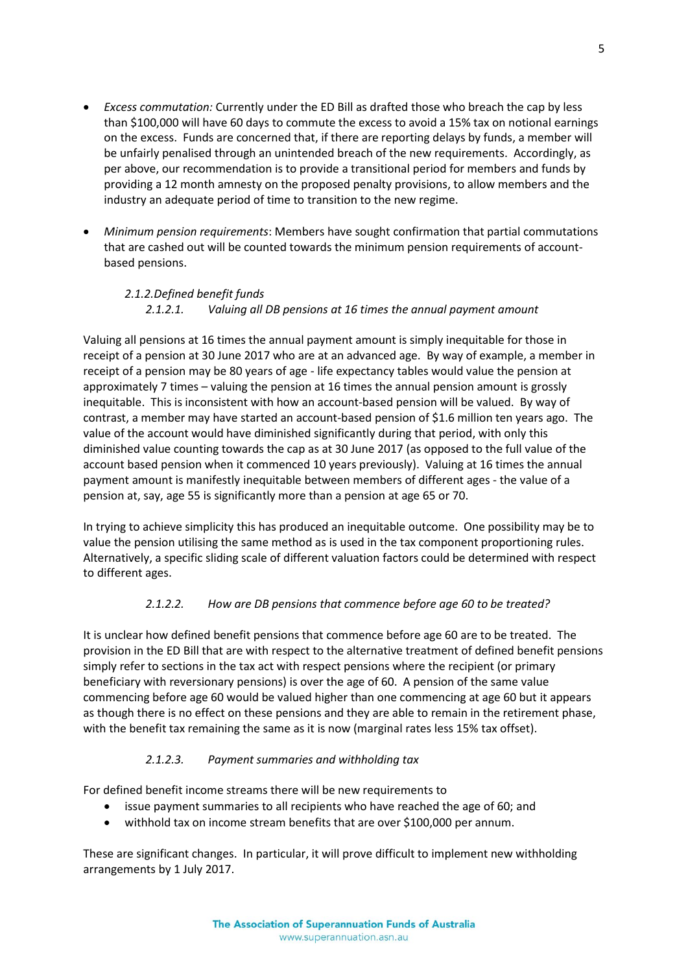- *Excess commutation:* Currently under the ED Bill as drafted those who breach the cap by less than \$100,000 will have 60 days to commute the excess to avoid a 15% tax on notional earnings on the excess. Funds are concerned that, if there are reporting delays by funds, a member will be unfairly penalised through an unintended breach of the new requirements. Accordingly, as per above, our recommendation is to provide a transitional period for members and funds by providing a 12 month amnesty on the proposed penalty provisions, to allow members and the industry an adequate period of time to transition to the new regime.
- *Minimum pension requirements*: Members have sought confirmation that partial commutations that are cashed out will be counted towards the minimum pension requirements of accountbased pensions.

# *2.1.2.Defined benefit funds 2.1.2.1. Valuing all DB pensions at 16 times the annual payment amount*

Valuing all pensions at 16 times the annual payment amount is simply inequitable for those in receipt of a pension at 30 June 2017 who are at an advanced age. By way of example, a member in receipt of a pension may be 80 years of age - life expectancy tables would value the pension at approximately 7 times – valuing the pension at 16 times the annual pension amount is grossly inequitable. This is inconsistent with how an account-based pension will be valued. By way of contrast, a member may have started an account-based pension of \$1.6 million ten years ago. The value of the account would have diminished significantly during that period, with only this diminished value counting towards the cap as at 30 June 2017 (as opposed to the full value of the account based pension when it commenced 10 years previously). Valuing at 16 times the annual payment amount is manifestly inequitable between members of different ages - the value of a pension at, say, age 55 is significantly more than a pension at age 65 or 70.

In trying to achieve simplicity this has produced an inequitable outcome. One possibility may be to value the pension utilising the same method as is used in the tax component proportioning rules. Alternatively, a specific sliding scale of different valuation factors could be determined with respect to different ages.

# *2.1.2.2. How are DB pensions that commence before age 60 to be treated?*

It is unclear how defined benefit pensions that commence before age 60 are to be treated. The provision in the ED Bill that are with respect to the alternative treatment of defined benefit pensions simply refer to sections in the tax act with respect pensions where the recipient (or primary beneficiary with reversionary pensions) is over the age of 60. A pension of the same value commencing before age 60 would be valued higher than one commencing at age 60 but it appears as though there is no effect on these pensions and they are able to remain in the retirement phase, with the benefit tax remaining the same as it is now (marginal rates less 15% tax offset).

# *2.1.2.3. Payment summaries and withholding tax*

For defined benefit income streams there will be new requirements to

- issue payment summaries to all recipients who have reached the age of 60; and
- withhold tax on income stream benefits that are over \$100,000 per annum.

These are significant changes. In particular, it will prove difficult to implement new withholding arrangements by 1 July 2017.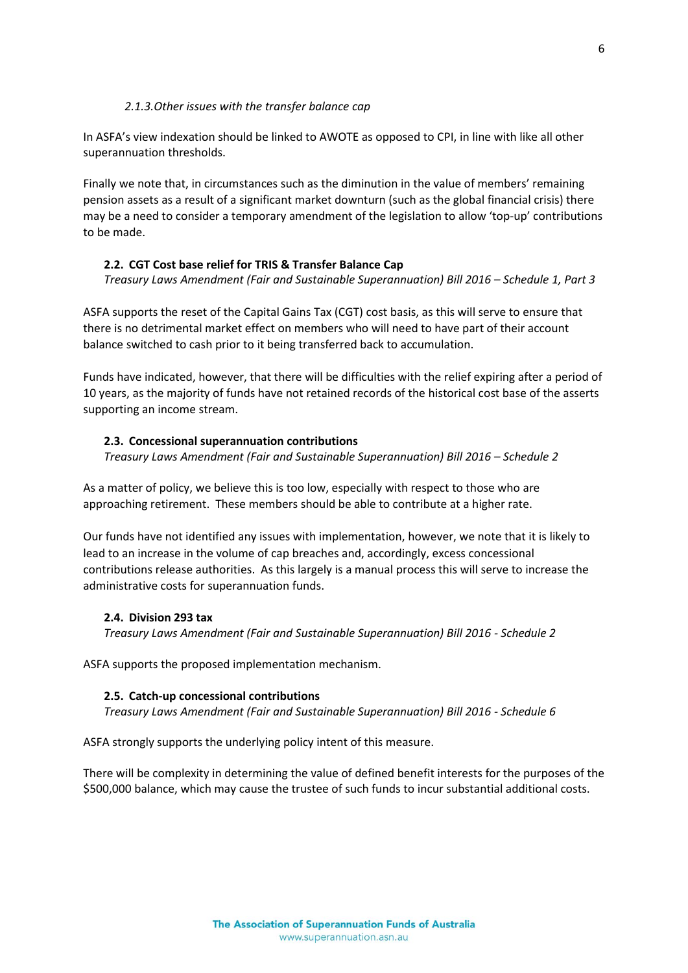## *2.1.3.Other issues with the transfer balance cap*

In ASFA's view indexation should be linked to AWOTE as opposed to CPI, in line with like all other superannuation thresholds.

Finally we note that, in circumstances such as the diminution in the value of members' remaining pension assets as a result of a significant market downturn (such as the global financial crisis) there may be a need to consider a temporary amendment of the legislation to allow 'top-up' contributions to be made.

## **2.2. CGT Cost base relief for TRIS & Transfer Balance Cap**

*Treasury Laws Amendment (Fair and Sustainable Superannuation) Bill 2016 – Schedule 1, Part 3*

ASFA supports the reset of the Capital Gains Tax (CGT) cost basis, as this will serve to ensure that there is no detrimental market effect on members who will need to have part of their account balance switched to cash prior to it being transferred back to accumulation.

Funds have indicated, however, that there will be difficulties with the relief expiring after a period of 10 years, as the majority of funds have not retained records of the historical cost base of the asserts supporting an income stream.

## **2.3. Concessional superannuation contributions**

*Treasury Laws Amendment (Fair and Sustainable Superannuation) Bill 2016 – Schedule 2*

As a matter of policy, we believe this is too low, especially with respect to those who are approaching retirement. These members should be able to contribute at a higher rate.

Our funds have not identified any issues with implementation, however, we note that it is likely to lead to an increase in the volume of cap breaches and, accordingly, excess concessional contributions release authorities. As this largely is a manual process this will serve to increase the administrative costs for superannuation funds.

## **2.4. Division 293 tax**

*Treasury Laws Amendment (Fair and Sustainable Superannuation) Bill 2016 - Schedule 2*

ASFA supports the proposed implementation mechanism.

## **2.5. Catch-up concessional contributions**

*Treasury Laws Amendment (Fair and Sustainable Superannuation) Bill 2016 - Schedule 6*

ASFA strongly supports the underlying policy intent of this measure.

There will be complexity in determining the value of defined benefit interests for the purposes of the \$500,000 balance, which may cause the trustee of such funds to incur substantial additional costs.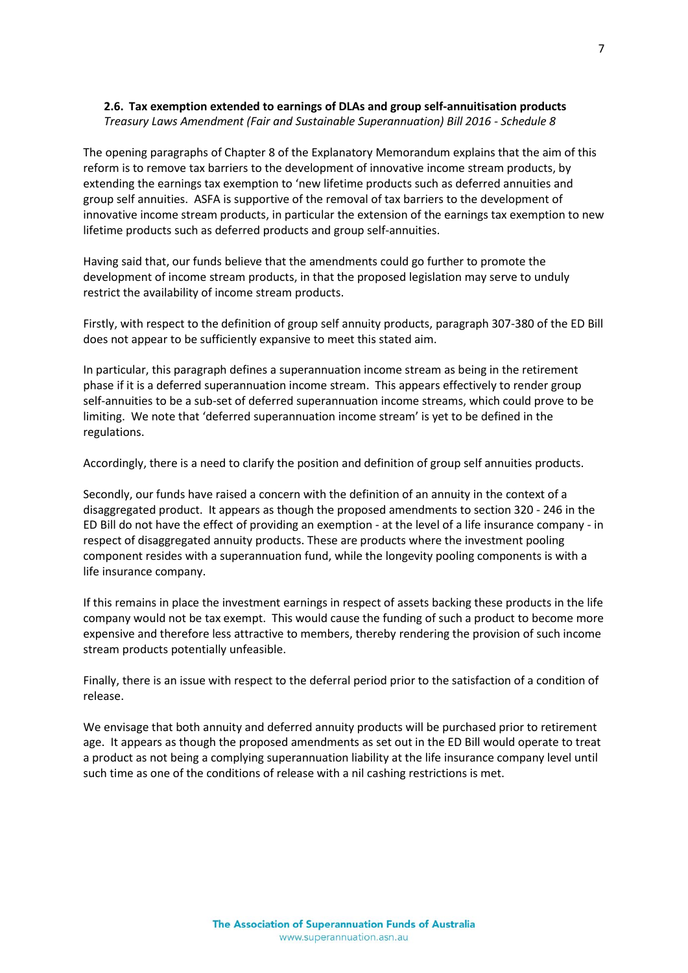# **2.6. Tax exemption extended to earnings of DLAs and group self-annuitisation products**

*Treasury Laws Amendment (Fair and Sustainable Superannuation) Bill 2016 - Schedule 8*

The opening paragraphs of Chapter 8 of the Explanatory Memorandum explains that the aim of this reform is to remove tax barriers to the development of innovative income stream products, by extending the earnings tax exemption to 'new lifetime products such as deferred annuities and group self annuities. ASFA is supportive of the removal of tax barriers to the development of innovative income stream products, in particular the extension of the earnings tax exemption to new lifetime products such as deferred products and group self-annuities.

Having said that, our funds believe that the amendments could go further to promote the development of income stream products, in that the proposed legislation may serve to unduly restrict the availability of income stream products.

Firstly, with respect to the definition of group self annuity products, paragraph 307-380 of the ED Bill does not appear to be sufficiently expansive to meet this stated aim.

In particular, this paragraph defines a superannuation income stream as being in the retirement phase if it is a deferred superannuation income stream. This appears effectively to render group self-annuities to be a sub-set of deferred superannuation income streams, which could prove to be limiting. We note that 'deferred superannuation income stream' is yet to be defined in the regulations.

Accordingly, there is a need to clarify the position and definition of group self annuities products.

Secondly, our funds have raised a concern with the definition of an annuity in the context of a disaggregated product. It appears as though the proposed amendments to section 320 - 246 in the ED Bill do not have the effect of providing an exemption - at the level of a life insurance company - in respect of disaggregated annuity products. These are products where the investment pooling component resides with a superannuation fund, while the longevity pooling components is with a life insurance company.

If this remains in place the investment earnings in respect of assets backing these products in the life company would not be tax exempt. This would cause the funding of such a product to become more expensive and therefore less attractive to members, thereby rendering the provision of such income stream products potentially unfeasible.

Finally, there is an issue with respect to the deferral period prior to the satisfaction of a condition of release.

We envisage that both annuity and deferred annuity products will be purchased prior to retirement age. It appears as though the proposed amendments as set out in the ED Bill would operate to treat a product as not being a complying superannuation liability at the life insurance company level until such time as one of the conditions of release with a nil cashing restrictions is met.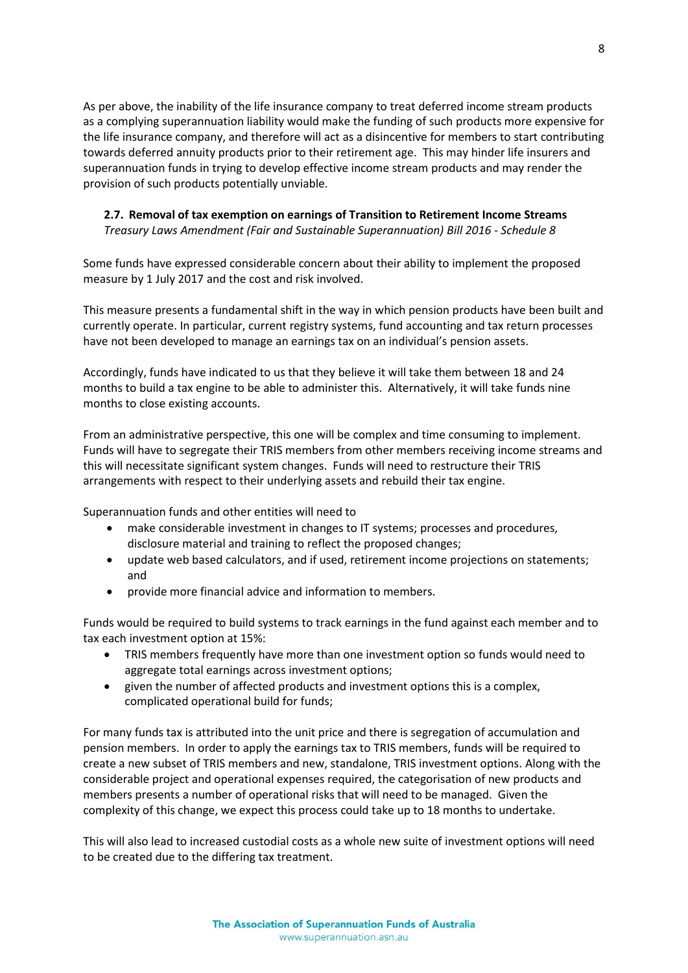As per above, the inability of the life insurance company to treat deferred income stream products as a complying superannuation liability would make the funding of such products more expensive for the life insurance company, and therefore will act as a disincentive for members to start contributing towards deferred annuity products prior to their retirement age. This may hinder life insurers and superannuation funds in trying to develop effective income stream products and may render the provision of such products potentially unviable.

# **2.7. Removal of tax exemption on earnings of Transition to Retirement Income Streams** *Treasury Laws Amendment (Fair and Sustainable Superannuation) Bill 2016 - Schedule 8*

Some funds have expressed considerable concern about their ability to implement the proposed measure by 1 July 2017 and the cost and risk involved.

This measure presents a fundamental shift in the way in which pension products have been built and currently operate. In particular, current registry systems, fund accounting and tax return processes have not been developed to manage an earnings tax on an individual's pension assets.

Accordingly, funds have indicated to us that they believe it will take them between 18 and 24 months to build a tax engine to be able to administer this. Alternatively, it will take funds nine months to close existing accounts.

From an administrative perspective, this one will be complex and time consuming to implement. Funds will have to segregate their TRIS members from other members receiving income streams and this will necessitate significant system changes. Funds will need to restructure their TRIS arrangements with respect to their underlying assets and rebuild their tax engine.

Superannuation funds and other entities will need to

- make considerable investment in changes to IT systems; processes and procedures, disclosure material and training to reflect the proposed changes;
- update web based calculators, and if used, retirement income projections on statements; and
- provide more financial advice and information to members.

Funds would be required to build systems to track earnings in the fund against each member and to tax each investment option at 15%:

- TRIS members frequently have more than one investment option so funds would need to aggregate total earnings across investment options;
- given the number of affected products and investment options this is a complex, complicated operational build for funds;

For many funds tax is attributed into the unit price and there is segregation of accumulation and pension members. In order to apply the earnings tax to TRIS members, funds will be required to create a new subset of TRIS members and new, standalone, TRIS investment options. Along with the considerable project and operational expenses required, the categorisation of new products and members presents a number of operational risks that will need to be managed. Given the complexity of this change, we expect this process could take up to 18 months to undertake.

This will also lead to increased custodial costs as a whole new suite of investment options will need to be created due to the differing tax treatment.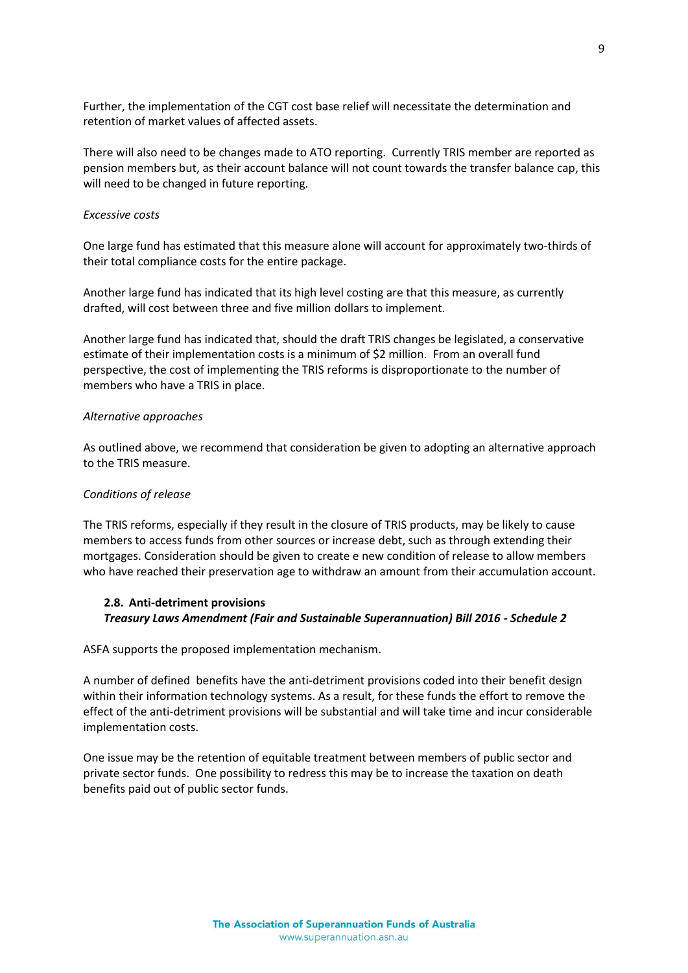Further, the implementation of the CGT cost base relief will necessitate the determination and retention of market values of affected assets.

There will also need to be changes made to ATO reporting. Currently TRIS member are reported as pension members but, as their account balance will not count towards the transfer balance cap, this will need to be changed in future reporting.

## *Excessive costs*

One large fund has estimated that this measure alone will account for approximately two-thirds of their total compliance costs for the entire package.

Another large fund has indicated that its high level costing are that this measure, as currently drafted, will cost between three and five million dollars to implement.

Another large fund has indicated that, should the draft TRIS changes be legislated, a conservative estimate of their implementation costs is a minimum of \$2 million. From an overall fund perspective, the cost of implementing the TRIS reforms is disproportionate to the number of members who have a TRIS in place.

## *Alternative approaches*

As outlined above, we recommend that consideration be given to adopting an alternative approach to the TRIS measure.

## *Conditions of release*

The TRIS reforms, especially if they result in the closure of TRIS products, may be likely to cause members to access funds from other sources or increase debt, such as through extending their mortgages. Consideration should be given to create e new condition of release to allow members who have reached their preservation age to withdraw an amount from their accumulation account.

## **2.8. Anti-detriment provisions** *Treasury Laws Amendment (Fair and Sustainable Superannuation) Bill 2016 - Schedule 2*

ASFA supports the proposed implementation mechanism.

A number of defined benefits have the anti-detriment provisions coded into their benefit design within their information technology systems. As a result, for these funds the effort to remove the effect of the anti-detriment provisions will be substantial and will take time and incur considerable implementation costs.

One issue may be the retention of equitable treatment between members of public sector and private sector funds. One possibility to redress this may be to increase the taxation on death benefits paid out of public sector funds.